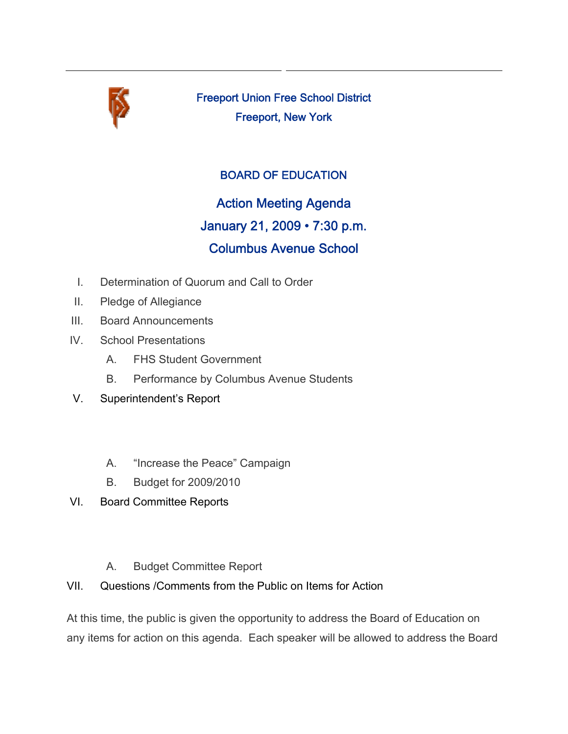

Freeport Union Free School District Freeport, New York

## BOARD OF EDUCATION

Action Meeting Agenda January 21, 2009 • 7:30 p.m. Columbus Avenue School

- I. Determination of Quorum and Call to Order
- II. Pledge of Allegiance
- III. Board Announcements
- IV. School Presentations
	- A. FHS Student Government
	- B. Performance by Columbus Avenue Students
- V. Superintendent's Report
	- A. "Increase the Peace" Campaign
	- B. Budget for 2009/2010
- VI. Board Committee Reports
	- A. Budget Committee Report
- VII. Questions /Comments from the Public on Items for Action

At this time, the public is given the opportunity to address the Board of Education on any items for action on this agenda. Each speaker will be allowed to address the Board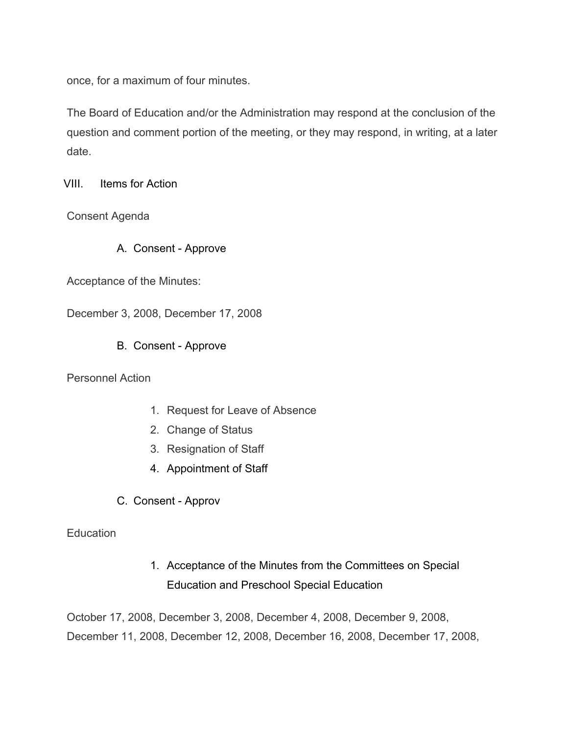once, for a maximum of four minutes.

The Board of Education and/or the Administration may respond at the conclusion of the question and comment portion of the meeting, or they may respond, in writing, at a later date.

VIII. Items for Action

Consent Agenda

A. Consent - Approve

Acceptance of the Minutes:

December 3, 2008, December 17, 2008

B. Consent - Approve

Personnel Action

- 1. Request for Leave of Absence
- 2. Change of Status
- 3. Resignation of Staff
- 4. Appointment of Staff
- C. Consent Approv

## **Education**

1. Acceptance of the Minutes from the Committees on Special Education and Preschool Special Education

October 17, 2008, December 3, 2008, December 4, 2008, December 9, 2008, December 11, 2008, December 12, 2008, December 16, 2008, December 17, 2008,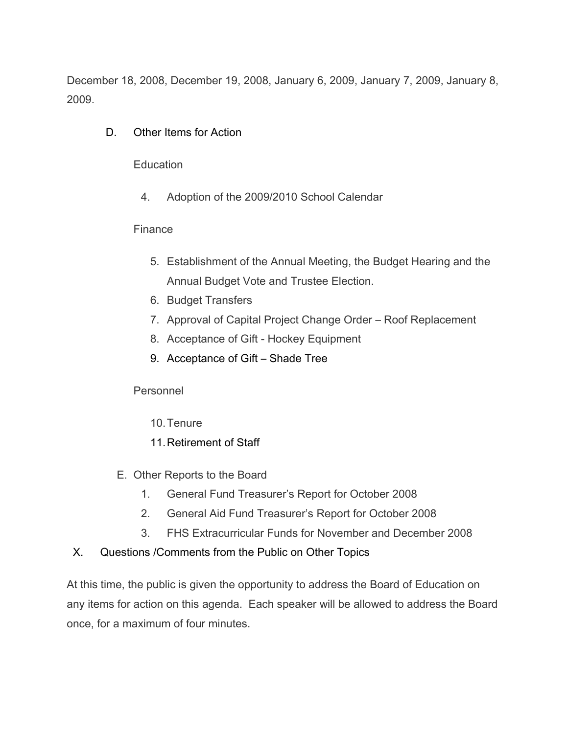December 18, 2008, December 19, 2008, January 6, 2009, January 7, 2009, January 8, 2009.

D. Other Items for Action

**Education** 

4. Adoption of the 2009/2010 School Calendar

## Finance

- 5. Establishment of the Annual Meeting, the Budget Hearing and the Annual Budget Vote and Trustee Election.
- 6. Budget Transfers
- 7. Approval of Capital Project Change Order Roof Replacement
- 8. Acceptance of Gift Hockey Equipment
- 9. Acceptance of Gift Shade Tree

Personnel

- 10.Tenure
- 11.Retirement of Staff
- E. Other Reports to the Board
	- 1. General Fund Treasurer's Report for October 2008
	- 2. General Aid Fund Treasurer's Report for October 2008
	- 3. FHS Extracurricular Funds for November and December 2008
- X. Questions /Comments from the Public on Other Topics

At this time, the public is given the opportunity to address the Board of Education on any items for action on this agenda. Each speaker will be allowed to address the Board once, for a maximum of four minutes.